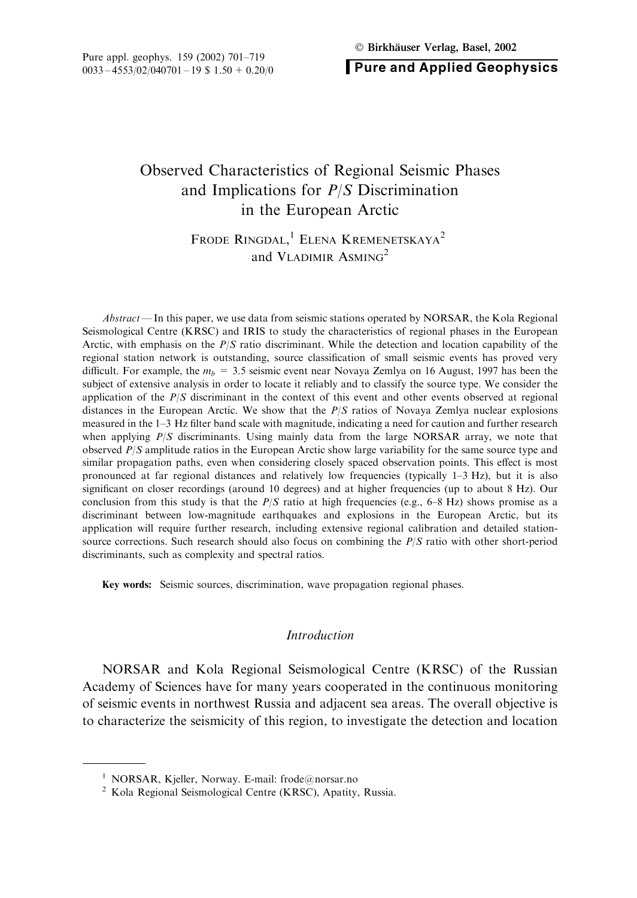**Pure and Applied Geophysics** 

# Observed Characteristics of Regional Seismic Phases and Implications for  $P/S$  Discrimination in the European Arctic

## FRODE RINGDAL,<sup>1</sup> ELENA KREMENETSKAYA<sup>2</sup> and VLADIMIR ASMING<sup>2</sup>

*Abstract* — In this paper, we use data from seismic stations operated by NORSAR, the Kola Regional Seismological Centre (KRSC) and IRIS to study the characteristics of regional phases in the European Arctic, with emphasis on the  $P/S$  ratio discriminant. While the detection and location capability of the regional station network is outstanding, source classification of small seismic events has proved very difficult. For example, the  $m_h = 3.5$  seismic event near Novaya Zemlya on 16 August, 1997 has been the subject of extensive analysis in order to locate it reliably and to classify the source type. We consider the application of the  $P/S$  discriminant in the context of this event and other events observed at regional distances in the European Arctic. We show that the  $P/S$  ratios of Novaya Zemlya nuclear explosions measured in the 1-3 Hz filter band scale with magnitude, indicating a need for caution and further research when applying  $P/S$  discriminants. Using mainly data from the large NORSAR array, we note that observed  $P/S$  amplitude ratios in the European Arctic show large variability for the same source type and similar propagation paths, even when considering closely spaced observation points. This effect is most pronounced at far regional distances and relatively low frequencies (typically  $1-3$  Hz), but it is also significant on closer recordings (around 10 degrees) and at higher frequencies (up to about 8 Hz). Our conclusion from this study is that the  $P/S$  ratio at high frequencies (e.g., 6–8 Hz) shows promise as a discriminant between low-magnitude earthquakes and explosions in the European Arctic, but its application will require further research, including extensive regional calibration and detailed stationsource corrections. Such research should also focus on combining the  $P/S$  ratio with other short-period discriminants, such as complexity and spectral ratios.

Key words: Seismic sources, discrimination, wave propagation regional phases.

#### **Introduction**

NORSAR and Kola Regional Seismological Centre (KRSC) of the Russian Academy of Sciences have for many years cooperated in the continuous monitoring of seismic events in northwest Russia and adjacent sea areas. The overall objective is to characterize the seismicity of this region, to investigate the detection and location

<sup>&</sup>lt;sup>1</sup> NORSAR, Kjeller, Norway. E-mail: frode@norsar.no

<sup>&</sup>lt;sup>2</sup> Kola Regional Seismological Centre (KRSC), Apatity, Russia.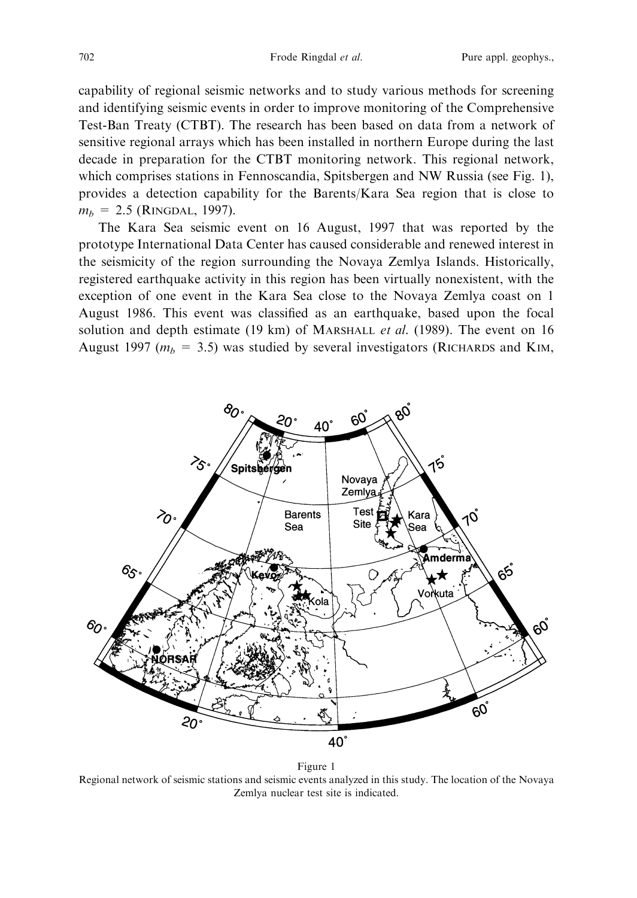capability of regional seismic networks and to study various methods for screening and identifying seismic events in order to improve monitoring of the Comprehensive Test-Ban Treaty (CTBT). The research has been based on data from a network of sensitive regional arrays which has been installed in northern Europe during the last decade in preparation for the CTBT monitoring network. This regional network, which comprises stations in Fennoscandia, Spitsbergen and NW Russia (see Fig. 1), provides a detection capability for the Barents/Kara Sea region that is close to  $m_b = 2.5$  (RINGDAL, 1997).

The Kara Sea seismic event on 16 August, 1997 that was reported by the prototype International Data Center has caused considerable and renewed interest in the seismicity of the region surrounding the Novaya Zemlya Islands. Historically, registered earthquake activity in this region has been virtually nonexistent, with the exception of one event in the Kara Sea close to the Novaya Zemlya coast on 1 August 1986. This event was classified as an earthquake, based upon the focal solution and depth estimate (19 km) of MARSHALL *et al.* (1989). The event on 16 August 1997 ( $m_b = 3.5$ ) was studied by several investigators (RICHARDS and KIM,



Figure 1 Regional network of seismic stations and seismic events analyzed in this study. The location of the Novaya Zemlya nuclear test site is indicated.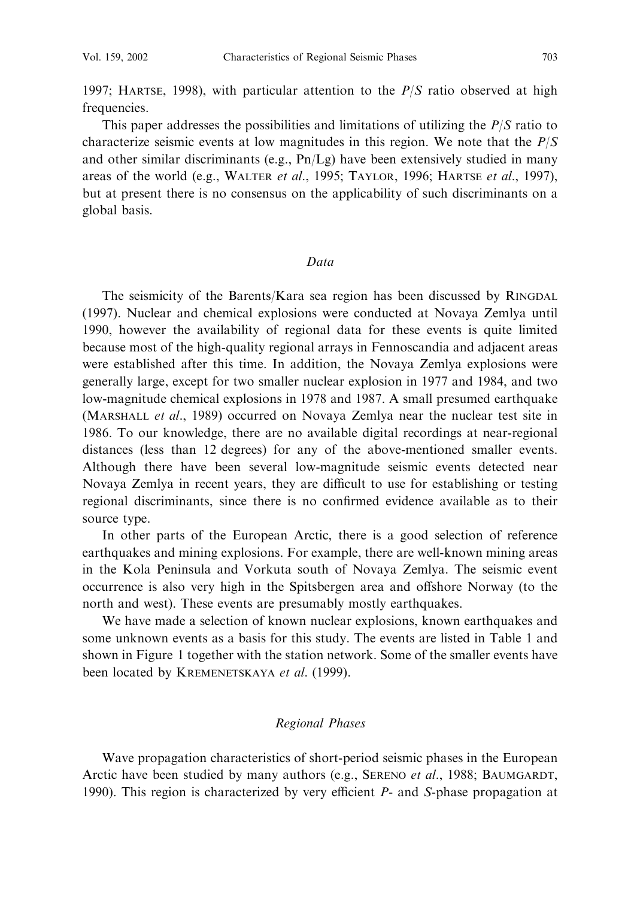1997; HARTSE, 1998), with particular attention to the  $P/S$  ratio observed at high frequencies.

This paper addresses the possibilities and limitations of utilizing the  $P/S$  ratio to characterize seismic events at low magnitudes in this region. We note that the  $P/S$ and other similar discriminants (e.g.,  $\text{Pn}/\text{Lg}$ ) have been extensively studied in many areas of the world (e.g., WALTER *et al.*, 1995; TAYLOR, 1996; HARTSE *et al.*, 1997), but at present there is no consensus on the applicability of such discriminants on a global basis.

#### Data

The seismicity of the Barents/Kara sea region has been discussed by RINGDAL (1997). Nuclear and chemical explosions were conducted at Novaya Zemlya until 1990, however the availability of regional data for these events is quite limited because most of the high-quality regional arrays in Fennoscandia and adjacent areas were established after this time. In addition, the Novaya Zemlya explosions were generally large, except for two smaller nuclear explosion in 1977 and 1984, and two low-magnitude chemical explosions in 1978 and 1987. A small presumed earthquake (MARSHALL et al., 1989) occurred on Novaya Zemlya near the nuclear test site in 1986. To our knowledge, there are no available digital recordings at near-regional distances (less than 12 degrees) for any of the above-mentioned smaller events. Although there have been several low-magnitude seismic events detected near Novaya Zemlya in recent years, they are difficult to use for establishing or testing regional discriminants, since there is no confirmed evidence available as to their source type.

In other parts of the European Arctic, there is a good selection of reference earthquakes and mining explosions. For example, there are well-known mining areas in the Kola Peninsula and Vorkuta south of Novaya Zemlya. The seismic event occurrence is also very high in the Spitsbergen area and offshore Norway (to the north and west). These events are presumably mostly earthquakes.

We have made a selection of known nuclear explosions, known earthquakes and some unknown events as a basis for this study. The events are listed in Table 1 and shown in Figure 1 together with the station network. Some of the smaller events have been located by KREMENETSKAYA et al. (1999).

#### Regional Phases

Wave propagation characteristics of short-period seismic phases in the European Arctic have been studied by many authors (e.g., SERENO et al., 1988; BAUMGARDT, 1990). This region is characterized by very efficient  $P$ - and S-phase propagation at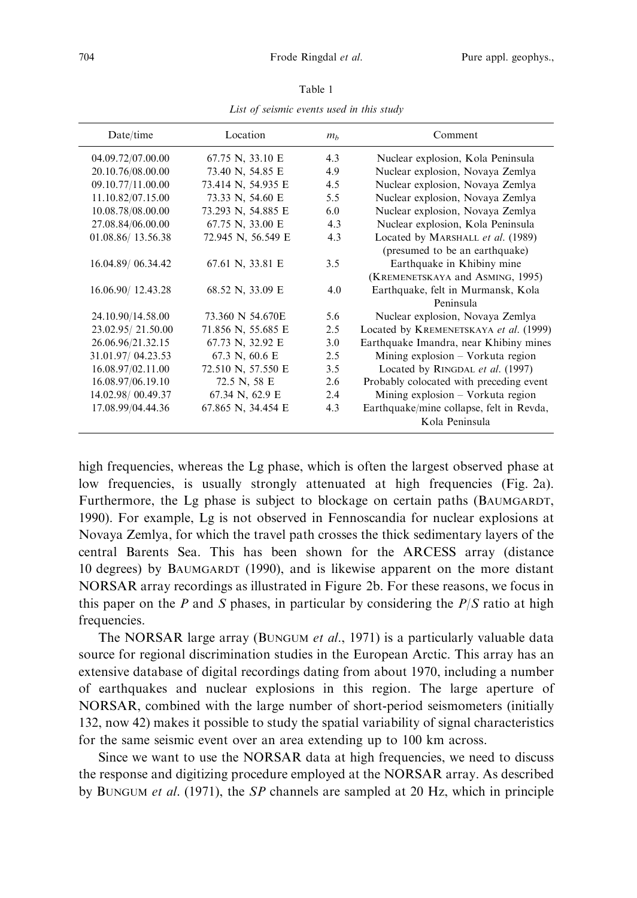| Date/time         | Location                 | m <sub>b</sub> | Comment                                  |  |
|-------------------|--------------------------|----------------|------------------------------------------|--|
| 04.09.72/07.00.00 | 67.75 N, 33.10 E         | 4.3            | Nuclear explosion, Kola Peninsula        |  |
| 20.10.76/08.00.00 | 73.40 N, 54.85 E         | 4.9            | Nuclear explosion, Novaya Zemlya         |  |
| 09.10.77/11.00.00 | 73.414 N, 54.935 E       | 4.5            | Nuclear explosion, Novaya Zemlya         |  |
| 11.10.82/07.15.00 | 73.33 N, 54.60 E         | 5.5            | Nuclear explosion, Novaya Zemlya         |  |
| 10.08.78/08.00.00 | 73.293 N, 54.885 E       | 6.0            | Nuclear explosion, Novaya Zemlya         |  |
| 27.08.84/06.00.00 | 67.75 N, 33.00 E         | 4.3            | Nuclear explosion, Kola Peninsula        |  |
| 01.08.86/13.56.38 | 72.945 N, 56.549 E       | 4.3            | Located by MARSHALL et al. (1989)        |  |
|                   |                          |                | (presumed to be an earthquake)           |  |
| 16.04.89/06.34.42 | 67.61 N, 33.81 E         | 3.5            | Earthquake in Khibiny mine               |  |
|                   |                          |                | (KREMENETSKAYA and ASMING, 1995)         |  |
| 16.06.90/12.43.28 | 68.52 N, 33.09 E         | 4.0            | Earthquake, felt in Murmansk, Kola       |  |
|                   |                          |                | Peninsula                                |  |
| 24.10.90/14.58.00 | 73.360 N 54.670E         | 5.6            | Nuclear explosion, Novaya Zemlya         |  |
| 23.02.95/21.50.00 | 71.856 N, 55.685 E       | 2.5            | Located by KREMENETSKAYA et al. (1999)   |  |
| 26.06.96/21.32.15 | 67.73 N, 32.92 E         | 3.0            | Earthquake Imandra, near Khibiny mines   |  |
| 31.01.97/04.23.53 | 67.3 N, $60.6 \text{ E}$ | 2.5            | Mining explosion $-$ Vorkuta region      |  |
| 16.08.97/02.11.00 | 72.510 N, 57.550 E       | 3.5            | Located by RINGDAL et al. (1997)         |  |
| 16.08.97/06.19.10 | 72.5 N, 58 E             | 2.6            | Probably colocated with preceding event  |  |
| 14.02.98/00.49.37 | 67.34 N, 62.9 E          | 2.4            | Mining explosion – Vorkuta region        |  |
| 17.08.99/04.44.36 | 67.865 N, 34.454 E       | 4.3            | Earthquake/mine collapse, felt in Revda, |  |
|                   |                          |                | Kola Peninsula                           |  |

Table 1

List of seismic events used in this study

high frequencies, whereas the Lg phase, which is often the largest observed phase at low frequencies, is usually strongly attenuated at high frequencies (Fig. 2a). Furthermore, the Lg phase is subject to blockage on certain paths (BAUMGARDT, 1990). For example, Lg is not observed in Fennoscandia for nuclear explosions at Novaya Zemlya, for which the travel path crosses the thick sedimentary layers of the central Barents Sea. This has been shown for the ARCESS array (distance 10 degrees) by BAUMGARDT (1990), and is likewise apparent on the more distant NORSAR array recordings as illustrated in Figure 2b. For these reasons, we focus in this paper on the  $P$  and  $S$  phases, in particular by considering the  $P/S$  ratio at high frequencies.

The NORSAR large array (BUNGUM et al., 1971) is a particularly valuable data source for regional discrimination studies in the European Arctic. This array has an extensive database of digital recordings dating from about 1970, including a number of earthquakes and nuclear explosions in this region. The large aperture of NORSAR, combined with the large number of short-period seismometers (initially 132, now 42) makes it possible to study the spatial variability of signal characteristics for the same seismic event over an area extending up to 100 km across.

Since we want to use the NORSAR data at high frequencies, we need to discuss the response and digitizing procedure employed at the NORSAR array. As described by BUNGUM *et al.* (1971), the *SP* channels are sampled at 20 Hz, which in principle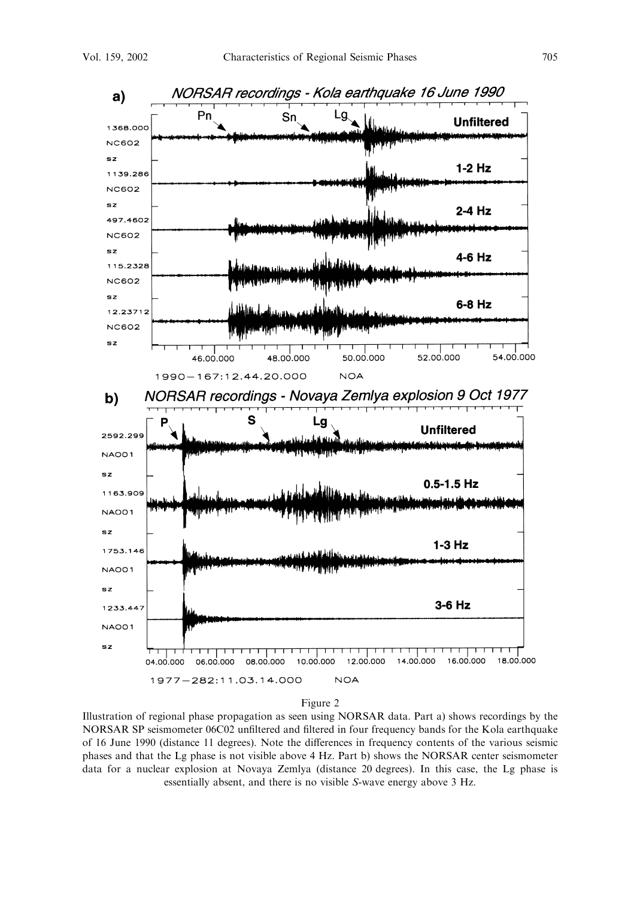

Illustration of regional phase propagation as seen using NORSAR data. Part a) shows recordings by the NORSAR SP seismometer 06C02 unfiltered and filtered in four frequency bands for the Kola earthquake of 16 June 1990 (distance 11 degrees). Note the differences in frequency contents of the various seismic phases and that the Lg phase is not visible above 4 Hz. Part b) shows the NORSAR center seismometer data for a nuclear explosion at Novaya Zemlya (distance 20 degrees). In this case, the Lg phase is essentially absent, and there is no visible S-wave energy above 3 Hz.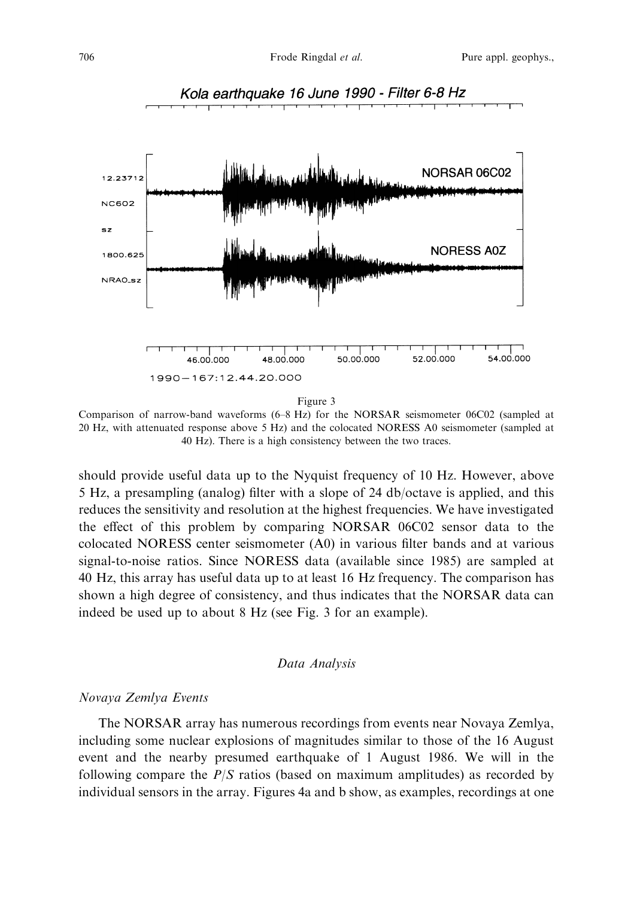

Figure 3

Comparison of narrow-band waveforms (6-8 Hz) for the NORSAR seismometer 06C02 (sampled at 20 Hz, with attenuated response above 5 Hz) and the colocated NORESS A0 seismometer (sampled at 40 Hz). There is a high consistency between the two traces.

should provide useful data up to the Nyquist frequency of 10 Hz. However, above 5 Hz, a presampling (analog) filter with a slope of 24 db/octave is applied, and this reduces the sensitivity and resolution at the highest frequencies. We have investigated the effect of this problem by comparing NORSAR 06C02 sensor data to the colocated NORESS center seismometer (A0) in various filter bands and at various signal-to-noise ratios. Since NORESS data (available since 1985) are sampled at 40 Hz, this array has useful data up to at least 16 Hz frequency. The comparison has shown a high degree of consistency, and thus indicates that the NORSAR data can indeed be used up to about 8 Hz (see Fig. 3 for an example).

### Data Analysis

## Novaya Zemlya Events

The NORSAR array has numerous recordings from events near Novaya Zemlya, including some nuclear explosions of magnitudes similar to those of the 16 August event and the nearby presumed earthquake of 1 August 1986. We will in the following compare the  $P/S$  ratios (based on maximum amplitudes) as recorded by individual sensors in the array. Figures 4a and b show, as examples, recordings at one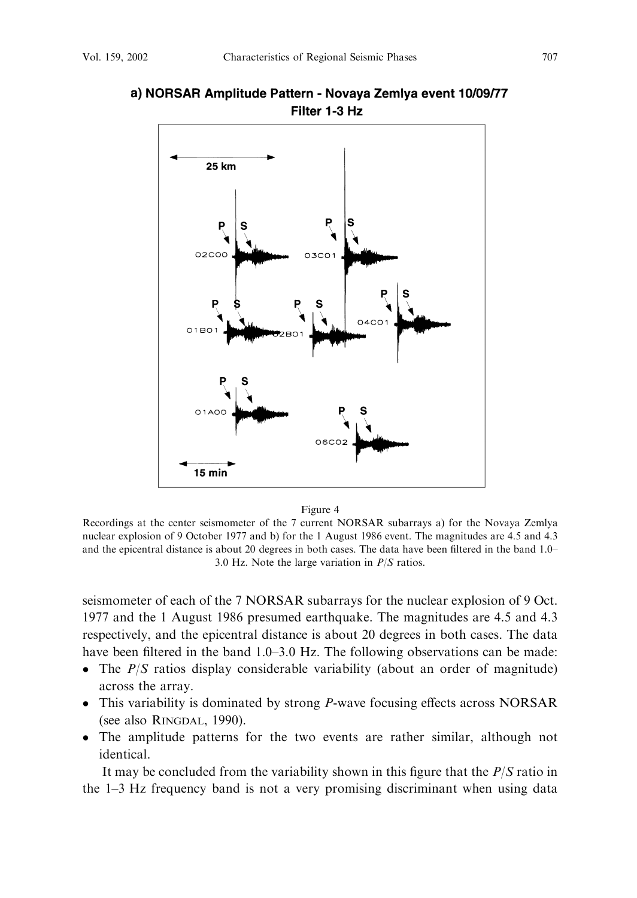

## a) NORSAR Amplitude Pattern - Novaya Zemlya event 10/09/77 Filter 1-3 Hz

Figure 4

Recordings at the center seismometer of the 7 current NORSAR subarrays a) for the Novaya Zemlya nuclear explosion of 9 October 1977 and b) for the 1 August 1986 event. The magnitudes are 4.5 and 4.3 and the epicentral distance is about 20 degrees in both cases. The data have been filtered in the band 1.0– 3.0 Hz. Note the large variation in  $P/S$  ratios.

seismometer of each of the 7 NORSAR subarrays for the nuclear explosion of 9 Oct. 1977 and the 1 August 1986 presumed earthquake. The magnitudes are 4.5 and 4.3 respectively, and the epicentral distance is about 20 degrees in both cases. The data have been filtered in the band 1.0–3.0 Hz. The following observations can be made:

- The  $P/S$  ratios display considerable variability (about an order of magnitude) across the array.
- This variability is dominated by strong *P*-wave focusing effects across NORSAR (see also RINGDAL, 1990).
- The amplitude patterns for the two events are rather similar, although not identical.

It may be concluded from the variability shown in this figure that the  $P/S$  ratio in the  $1-3$  Hz frequency band is not a very promising discriminant when using data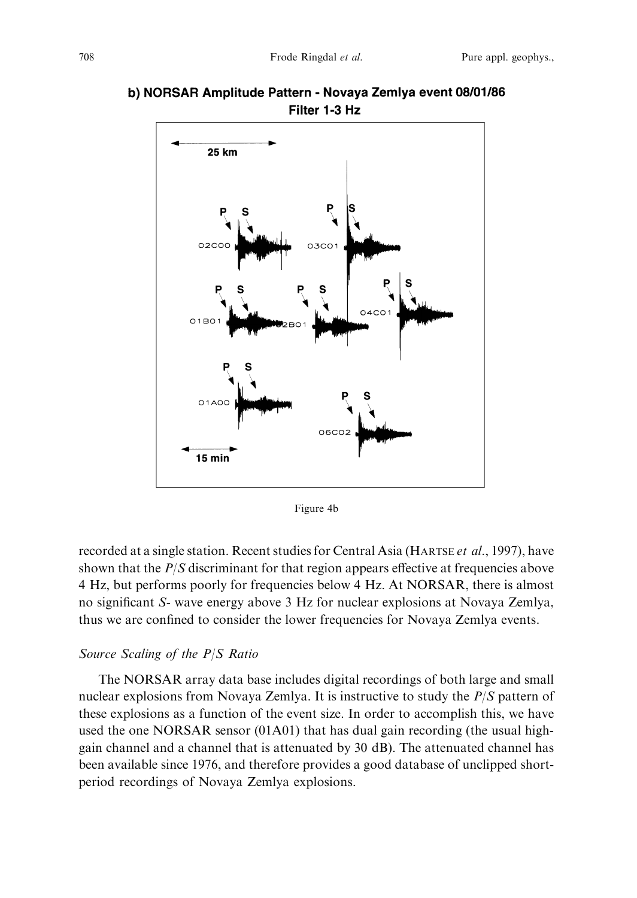

b) NORSAR Amplitude Pattern - Novaya Zemlya event 08/01/86 Filter 1-3 Hz

Figure 4b

recorded at a single station. Recent studies for Central Asia (HARTSE et al., 1997), have shown that the  $P/S$  discriminant for that region appears effective at frequencies above 4 Hz, but performs poorly for frequencies below 4 Hz. At NORSAR, there is almost no significant S- wave energy above 3 Hz for nuclear explosions at Novaya Zemlya, thus we are confined to consider the lower frequencies for Novaya Zemlya events.

#### Source Scaling of the  $P/S$  Ratio

The NORSAR array data base includes digital recordings of both large and small nuclear explosions from Novaya Zemlya. It is instructive to study the  $P/S$  pattern of these explosions as a function of the event size. In order to accomplish this, we have used the one NORSAR sensor  $(01A01)$  that has dual gain recording (the usual highgain channel and a channel that is attenuated by 30 dB). The attenuated channel has been available since 1976, and therefore provides a good database of unclipped shortperiod recordings of Novaya Zemlya explosions.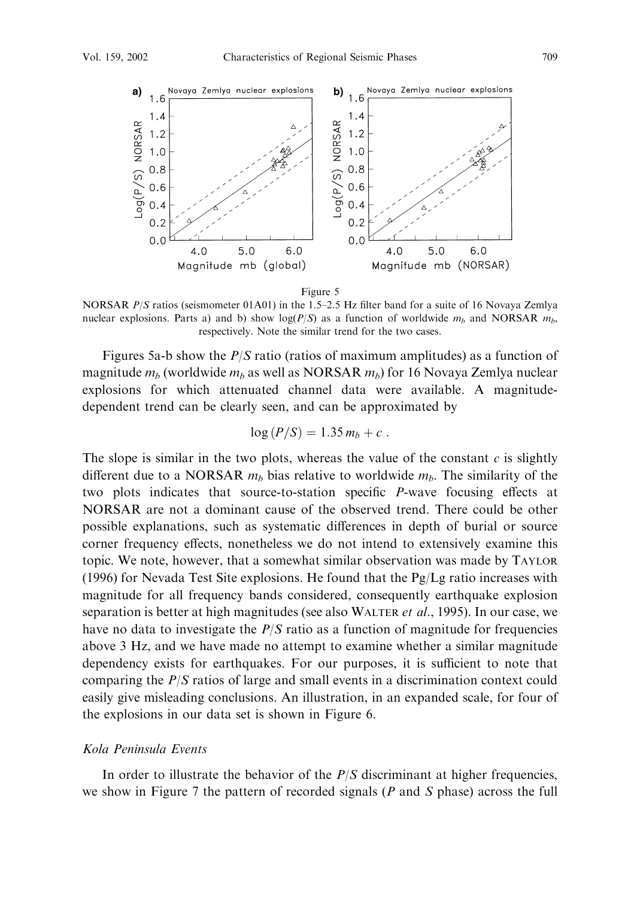

NORSAR  $P/S$  ratios (seismometer 01A01) in the 1.5–2.5 Hz filter band for a suite of 16 Novaya Zemlya nuclear explosions. Parts a) and b) show  $log(P/S)$  as a function of worldwide  $m_b$  and NORSAR  $m_b$ , respectively. Note the similar trend for the two cases.

Figures 5a-b show the  $P/S$  ratio (ratios of maximum amplitudes) as a function of magnitude  $m_b$  (worldwide  $m_b$  as well as NORSAR  $m_b$ ) for 16 Novaya Zemlya nuclear explosions for which attenuated channel data were available. A magnitudedependent trend can be clearly seen, and can be approximated by

$$
\log(P/S) = 1.35 m_b + c.
$$

The slope is similar in the two plots, whereas the value of the constant  $c$  is slightly different due to a NORSAR  $m_b$  bias relative to worldwide  $m_b$ . The similarity of the two plots indicates that source-to-station specific P-wave focusing effects at NORSAR are not a dominant cause of the observed trend. There could be other possible explanations, such as systematic differences in depth of burial or source corner frequency effects, nonetheless we do not intend to extensively examine this topic. We note, however, that a somewhat similar observation was made by TAYLOR (1996) for Nevada Test Site explosions. He found that the  $Pg/Lg$  ratio increases with magnitude for all frequency bands considered, consequently earthquake explosion separation is better at high magnitudes (see also WALTER *et al.*, 1995). In our case, we have no data to investigate the  $P/S$  ratio as a function of magnitude for frequencies above 3 Hz, and we have made no attempt to examine whether a similar magnitude dependency exists for earthquakes. For our purposes, it is sufficient to note that comparing the  $P/S$  ratios of large and small events in a discrimination context could easily give misleading conclusions. An illustration, in an expanded scale, for four of the explosions in our data set is shown in Figure 6.

#### Kola Peninsula Events

In order to illustrate the behavior of the  $P/S$  discriminant at higher frequencies, we show in Figure 7 the pattern of recorded signals  $(P \text{ and } S \text{ phase})$  across the full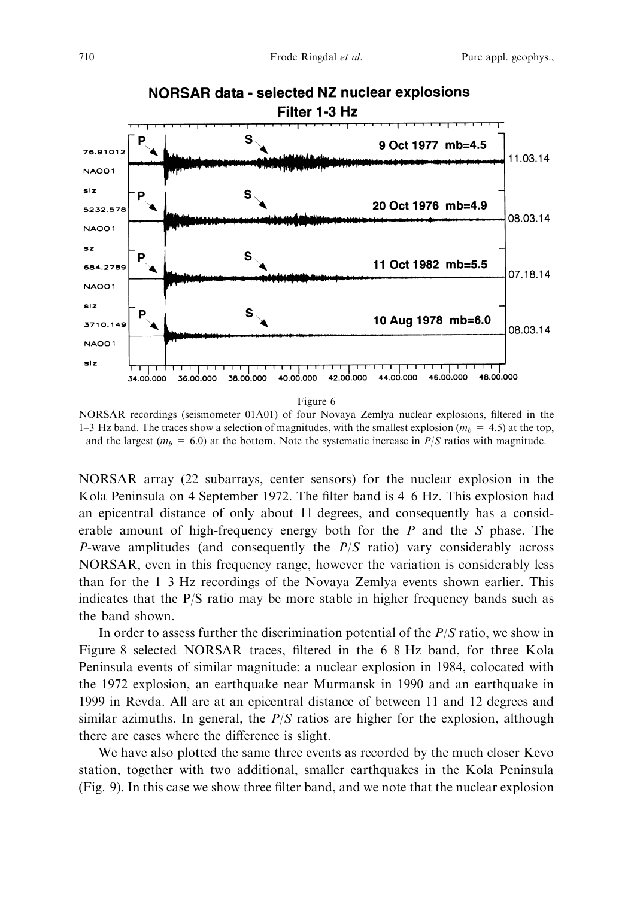

NORSAR recordings (seismometer 01A01) of four Novaya Zemlya nuclear explosions, filtered in the 1–3 Hz band. The traces show a selection of magnitudes, with the smallest explosion ( $m<sub>b</sub>$  = 4.5) at the top, and the largest ( $m_b = 6.0$ ) at the bottom. Note the systematic increase in  $P/S$  ratios with magnitude.

NORSAR array (22 subarrays, center sensors) for the nuclear explosion in the Kola Peninsula on 4 September 1972. The filter band is 4–6 Hz. This explosion had an epicentral distance of only about 11 degrees, and consequently has a considerable amount of high-frequency energy both for the  $P$  and the  $S$  phase. The P-wave amplitudes (and consequently the  $P/S$  ratio) vary considerably across NORSAR, even in this frequency range, however the variation is considerably less than for the 1-3 Hz recordings of the Novaya Zemlya events shown earlier. This indicates that the  $P/S$  ratio may be more stable in higher frequency bands such as the band shown.

In order to assess further the discrimination potential of the  $P/S$  ratio, we show in Figure 8 selected NORSAR traces, filtered in the 6-8 Hz band, for three Kola Peninsula events of similar magnitude: a nuclear explosion in 1984, colocated with the 1972 explosion, an earthquake near Murmansk in 1990 and an earthquake in 1999 in Revda. All are at an epicentral distance of between 11 and 12 degrees and similar azimuths. In general, the  $P/S$  ratios are higher for the explosion, although there are cases where the difference is slight.

We have also plotted the same three events as recorded by the much closer Kevo station, together with two additional, smaller earthquakes in the Kola Peninsula (Fig. 9). In this case we show three filter band, and we note that the nuclear explosion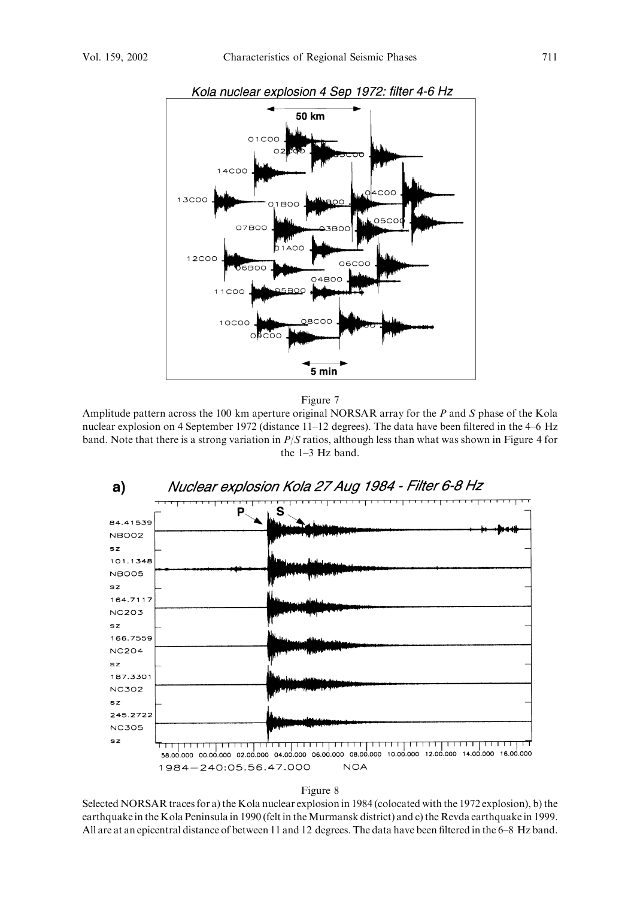

Figure 7

Amplitude pattern across the 100 km aperture original NORSAR array for the  $P$  and  $S$  phase of the Kola nuclear explosion on 4 September 1972 (distance 11-12 degrees). The data have been filtered in the 4-6 Hz band. Note that there is a strong variation in  $P/S$  ratios, although less than what was shown in Figure 4 for the  $1-3$  Hz band.



#### Figure 8

Selected NORSAR traces for a) the Kola nuclear explosion in 1984 (colocated with the 1972 explosion), b) the earthquake in the Kola Peninsula in 1990 (felt in the Murmansk district) and c) the Revda earthquake in 1999. All are at an epicentral distance of between 11 and 12 degrees. The data have been filtered in the 6-8 Hz band.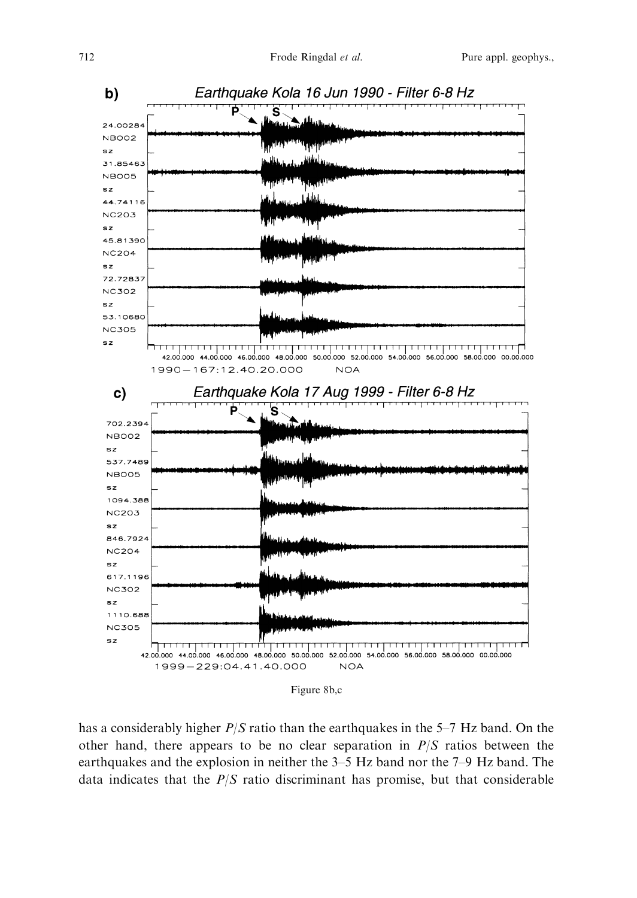

Figure 8b,c

has a considerably higher  $P/S$  ratio than the earthquakes in the 5–7 Hz band. On the other hand, there appears to be no clear separation in  $P/S$  ratios between the earthquakes and the explosion in neither the 3–5 Hz band nor the 7–9 Hz band. The data indicates that the  $P/S$  ratio discriminant has promise, but that considerable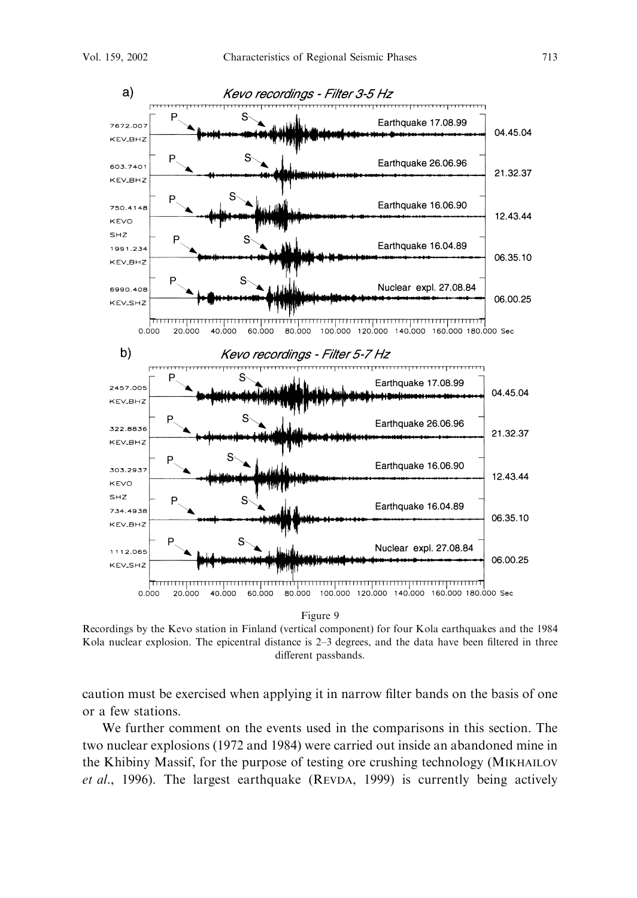

Figure 9

Recordings by the Kevo station in Finland (vertical component) for four Kola earthquakes and the 1984 Kola nuclear explosion. The epicentral distance is 2–3 degrees, and the data have been filtered in three different passbands.

caution must be exercised when applying it in narrow filter bands on the basis of one or a few stations.

We further comment on the events used in the comparisons in this section. The two nuclear explosions (1972 and 1984) were carried out inside an abandoned mine in the Khibiny Massif, for the purpose of testing ore crushing technology (MIKHAILOV et al., 1996). The largest earthquake (REVDA, 1999) is currently being actively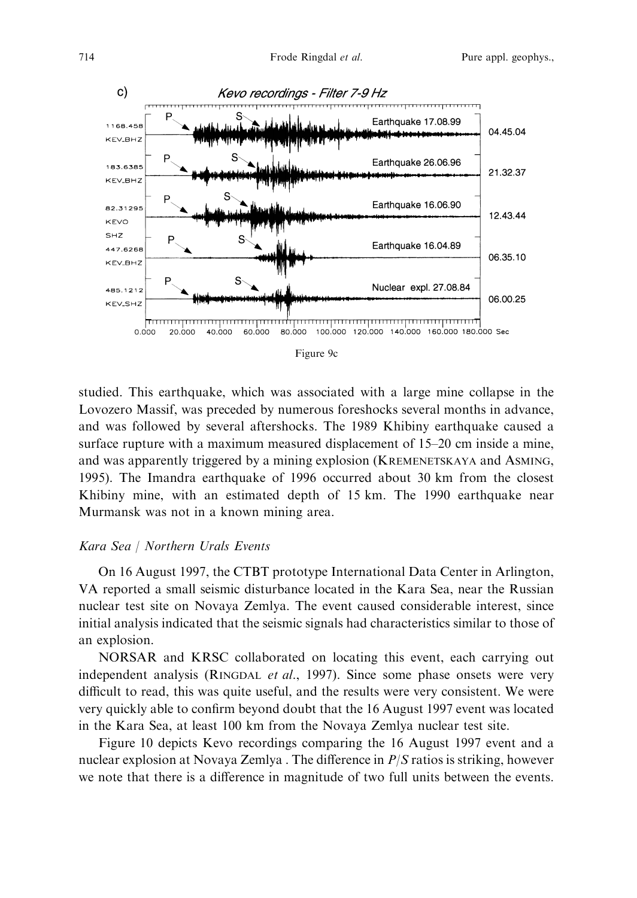

| Մեե |  |
|-----|--|
|     |  |

studied. This earthquake, which was associated with a large mine collapse in the Lovozero Massif, was preceded by numerous foreshocks several months in advance, and was followed by several aftershocks. The 1989 Khibiny earthquake caused a surface rupture with a maximum measured displacement of 15–20 cm inside a mine, and was apparently triggered by a mining explosion (KREMENETSKAYA and ASMING, 1995). The Imandra earthquake of 1996 occurred about 30 km from the closest Khibiny mine, with an estimated depth of 15 km. The 1990 earthquake near Murmansk was not in a known mining area.

## Kara Sea | Northern Urals Events

On 16 August 1997, the CTBT prototype International Data Center in Arlington, VA reported a small seismic disturbance located in the Kara Sea, near the Russian nuclear test site on Novaya Zemlya. The event caused considerable interest, since initial analysis indicated that the seismic signals had characteristics similar to those of an explosion.

NORSAR and KRSC collaborated on locating this event, each carrying out independent analysis (RINGDAL et al., 1997). Since some phase onsets were very difficult to read, this was quite useful, and the results were very consistent. We were very quickly able to confirm beyond doubt that the 16 August 1997 event was located in the Kara Sea, at least 100 km from the Novaya Zemlya nuclear test site.

Figure 10 depicts Kevo recordings comparing the 16 August 1997 event and a nuclear explosion at Novaya Zemlya. The difference in  $P/S$  ratios is striking, however we note that there is a difference in magnitude of two full units between the events.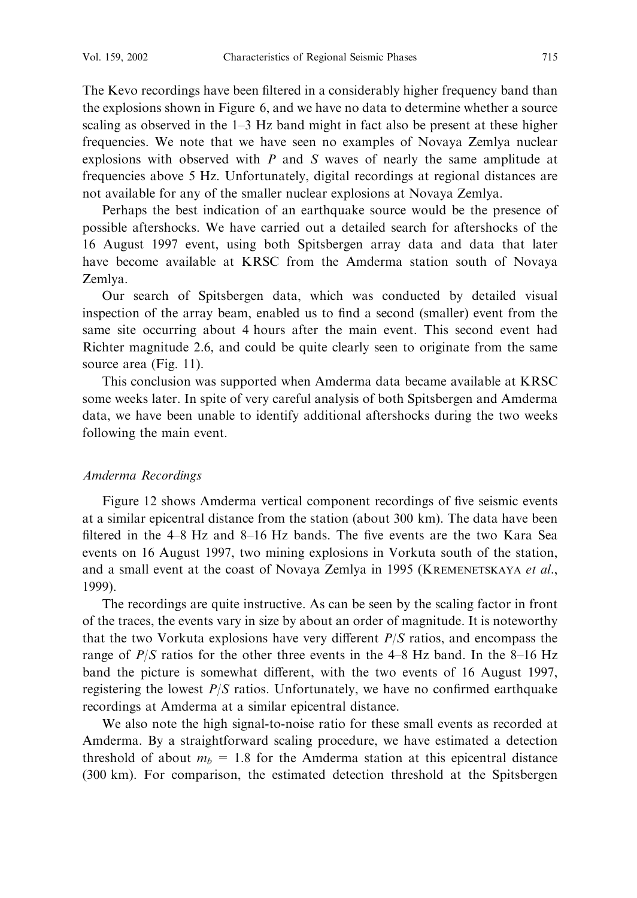The Kevo recordings have been filtered in a considerably higher frequency band than the explosions shown in Figure 6, and we have no data to determine whether a source scaling as observed in the  $1-3$  Hz band might in fact also be present at these higher frequencies. We note that we have seen no examples of Novaya Zemlya nuclear explosions with observed with  $P$  and  $S$  waves of nearly the same amplitude at frequencies above 5 Hz. Unfortunately, digital recordings at regional distances are not available for any of the smaller nuclear explosions at Novaya Zemlya.

Perhaps the best indication of an earthquake source would be the presence of possible aftershocks. We have carried out a detailed search for aftershocks of the 16 August 1997 event, using both Spitsbergen array data and data that later have become available at KRSC from the Amderma station south of Novaya Zemlva.

Our search of Spitsbergen data, which was conducted by detailed visual inspection of the array beam, enabled us to find a second (smaller) event from the same site occurring about 4 hours after the main event. This second event had Richter magnitude 2.6, and could be quite clearly seen to originate from the same source area (Fig. 11).

This conclusion was supported when Amderma data became available at KRSC some weeks later. In spite of very careful analysis of both Spitsbergen and Amderma data, we have been unable to identify additional aftershocks during the two weeks following the main event.

#### Amderma Recordings

Figure 12 shows Amderma vertical component recordings of five seismic events at a similar epicentral distance from the station (about 300 km). The data have been filtered in the 4–8 Hz and 8–16 Hz bands. The five events are the two Kara Sea events on 16 August 1997, two mining explosions in Vorkuta south of the station, and a small event at the coast of Novaya Zemlya in 1995 (KREMENETSKAYA et al., 1999).

The recordings are quite instructive. As can be seen by the scaling factor in front of the traces, the events vary in size by about an order of magnitude. It is noteworthy that the two Vorkuta explosions have very different  $P/S$  ratios, and encompass the range of  $P/S$  ratios for the other three events in the 4–8 Hz band. In the 8–16 Hz band the picture is somewhat different, with the two events of 16 August 1997, registering the lowest  $P/S$  ratios. Unfortunately, we have no confirmed earthquake recordings at Amderma at a similar epicentral distance.

We also note the high signal-to-noise ratio for these small events as recorded at Amderma. By a straightforward scaling procedure, we have estimated a detection threshold of about  $m_b = 1.8$  for the Amderma station at this epicentral distance (300 km). For comparison, the estimated detection threshold at the Spitsbergen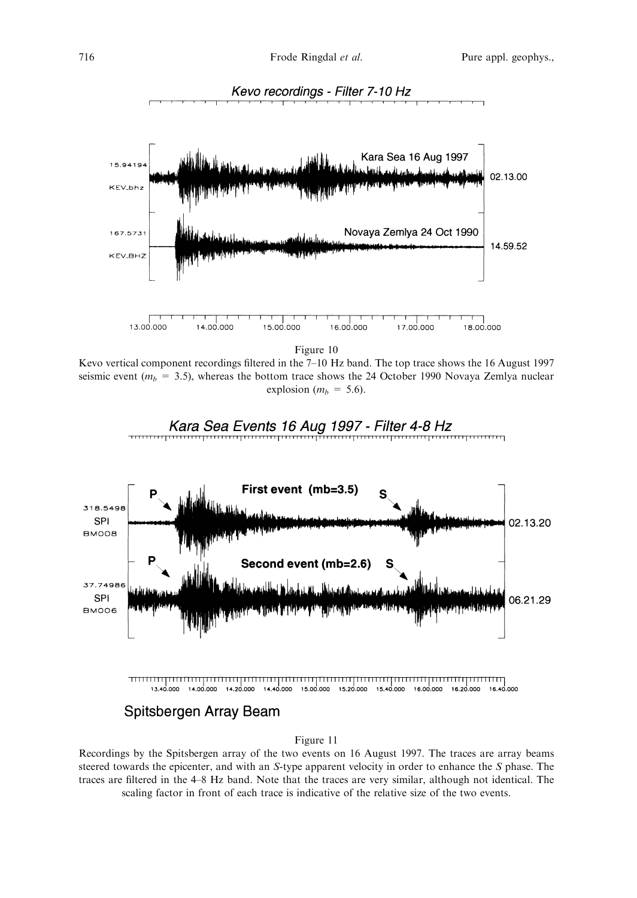

Kevo vertical component recordings filtered in the  $7-10$  Hz band. The top trace shows the 16 August 1997 seismic event ( $m_h$  = 3.5), whereas the bottom trace shows the 24 October 1990 Novaya Zemlya nuclear explosion ( $m_b = 5.6$ ).



Recordings by the Spitsbergen array of the two events on 16 August 1997. The traces are array beams steered towards the epicenter, and with an S-type apparent velocity in order to enhance the S phase. The traces are filtered in the 4–8 Hz band. Note that the traces are very similar, although not identical. The scaling factor in front of each trace is indicative of the relative size of the two events.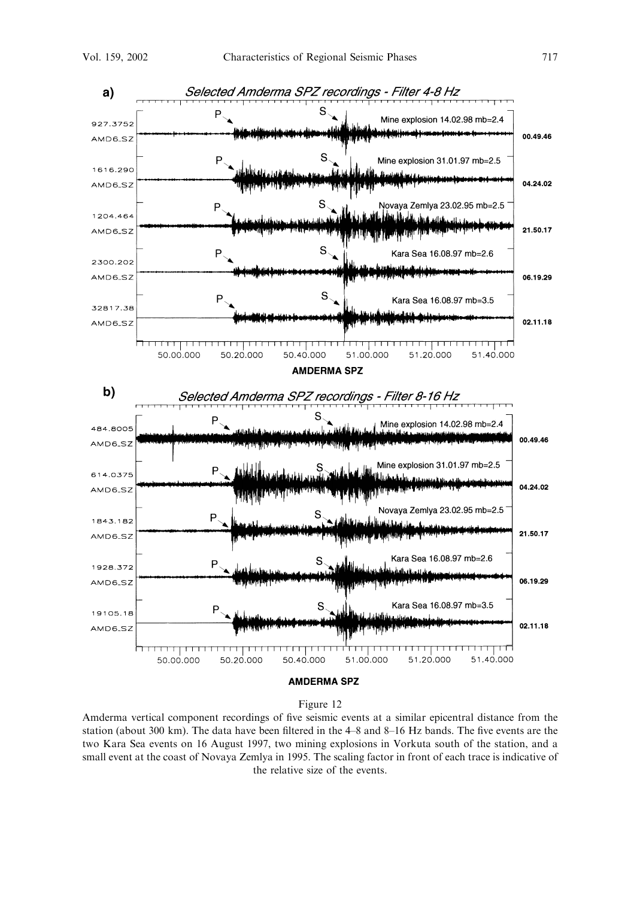

Amderma vertical component recordings of five seismic events at a similar epicentral distance from the station (about 300 km). The data have been filtered in the 4–8 and 8–16 Hz bands. The five events are the two Kara Sea events on 16 August 1997, two mining explosions in Vorkuta south of the station, and a small event at the coast of Novaya Zemlya in 1995. The scaling factor in front of each trace is indicative of the relative size of the events.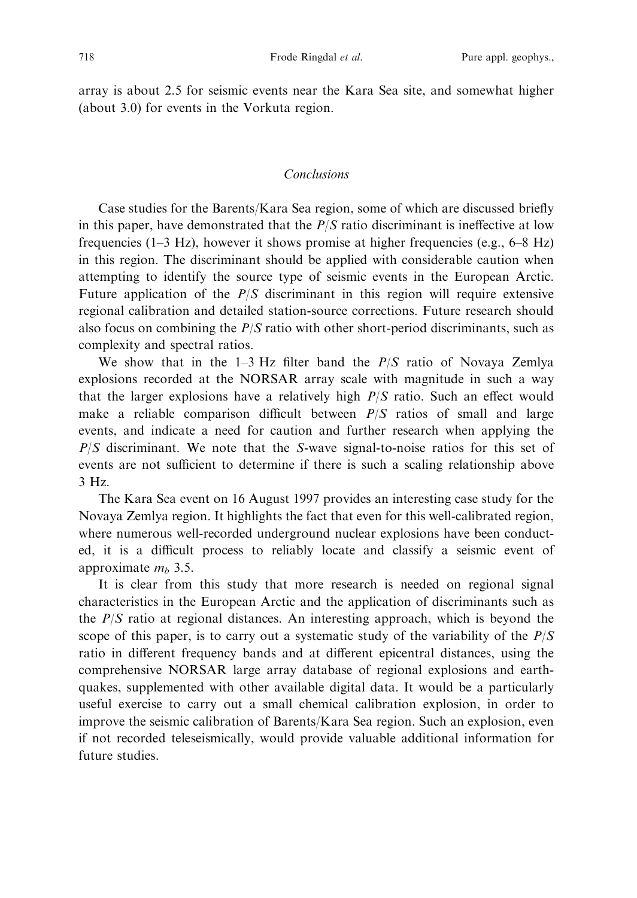array is about 2.5 for seismic events near the Kara Sea site, and somewhat higher (about 3.0) for events in the Vorkuta region.

## Conclusions

Case studies for the Barents/Kara Sea region, some of which are discussed briefly in this paper, have demonstrated that the  $P/S$  ratio discriminant is ineffective at low frequencies (1–3 Hz), however it shows promise at higher frequencies (e.g.,  $6-8$  Hz) in this region. The discriminant should be applied with considerable caution when attempting to identify the source type of seismic events in the European Arctic. Future application of the  $P/S$  discriminant in this region will require extensive regional calibration and detailed station-source corrections. Future research should also focus on combining the  $P/S$  ratio with other short-period discriminants, such as complexity and spectral ratios.

We show that in the 1-3 Hz filter band the  $P/S$  ratio of Novaya Zemlya explosions recorded at the NORSAR array scale with magnitude in such a way that the larger explosions have a relatively high  $P/S$  ratio. Such an effect would make a reliable comparison difficult between  $P/S$  ratios of small and large events, and indicate a need for caution and further research when applying the  $P/S$  discriminant. We note that the S-wave signal-to-noise ratios for this set of events are not sufficient to determine if there is such a scaling relationship above  $3$  Hz.

The Kara Sea event on 16 August 1997 provides an interesting case study for the Novaya Zemlya region. It highlights the fact that even for this well-calibrated region, where numerous well-recorded underground nuclear explosions have been conducted, it is a difficult process to reliably locate and classify a seismic event of approximate  $m_h$  3.5.

It is clear from this study that more research is needed on regional signal characteristics in the European Arctic and the application of discriminants such as the  $P/S$  ratio at regional distances. An interesting approach, which is beyond the scope of this paper, is to carry out a systematic study of the variability of the  $P/S$ ratio in different frequency bands and at different epicentral distances, using the comprehensive NORSAR large array database of regional explosions and earthquakes, supplemented with other available digital data. It would be a particularly useful exercise to carry out a small chemical calibration explosion, in order to improve the seismic calibration of Barents/Kara Sea region. Such an explosion, even if not recorded teleseismically, would provide valuable additional information for future studies.